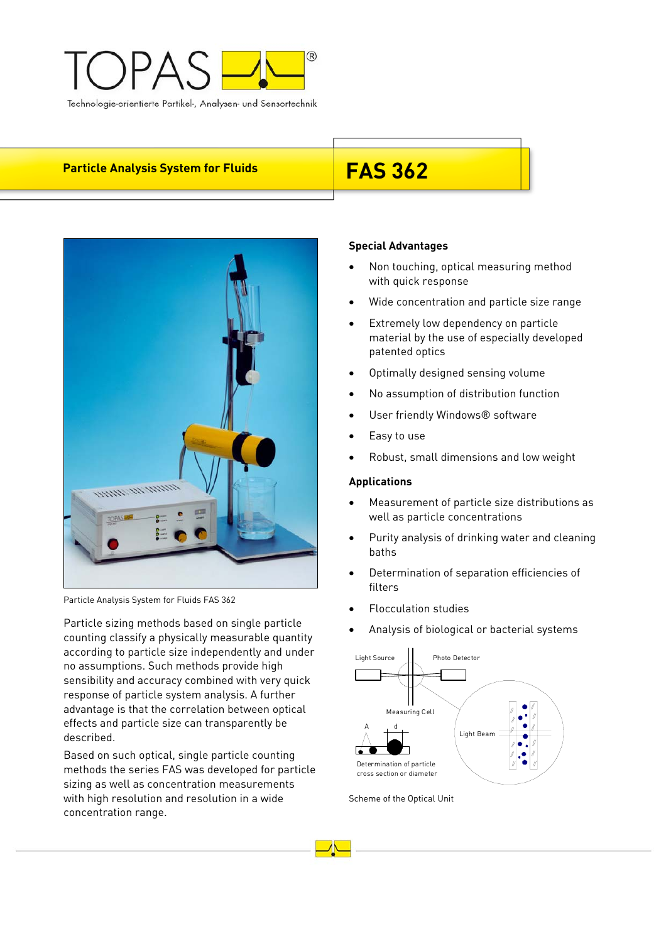

# **Particle Analysis System for Fluids FAS 362**



Particle Analysis System for Fluids FAS 362

Particle sizing methods based on single particle counting classify a physically measurable quantity according to particle size independently and under no assumptions. Such methods provide high sensibility and accuracy combined with very quick response of particle system analysis. A further advantage is that the correlation between optical effects and particle size can transparently be described.

Based on such optical, single particle counting methods the series FAS was developed for particle sizing as well as concentration measurements with high resolution and resolution in a wide concentration range.

## **Special Advantages**

- Non touching, optical measuring method with quick response
- Wide concentration and particle size range
- Extremely low dependency on particle material by the use of especially developed patented optics
- Optimally designed sensing volume
- No assumption of distribution function
- User friendly Windows® software
- Easy to use
- Robust, small dimensions and low weight

## **Applications**

- Measurement of particle size distributions as well as particle concentrations
- Purity analysis of drinking water and cleaning baths
- Determination of separation efficiencies of filters
- Flocculation studies
- Analysis of biological or bacterial systems



Scheme of the Optical Unit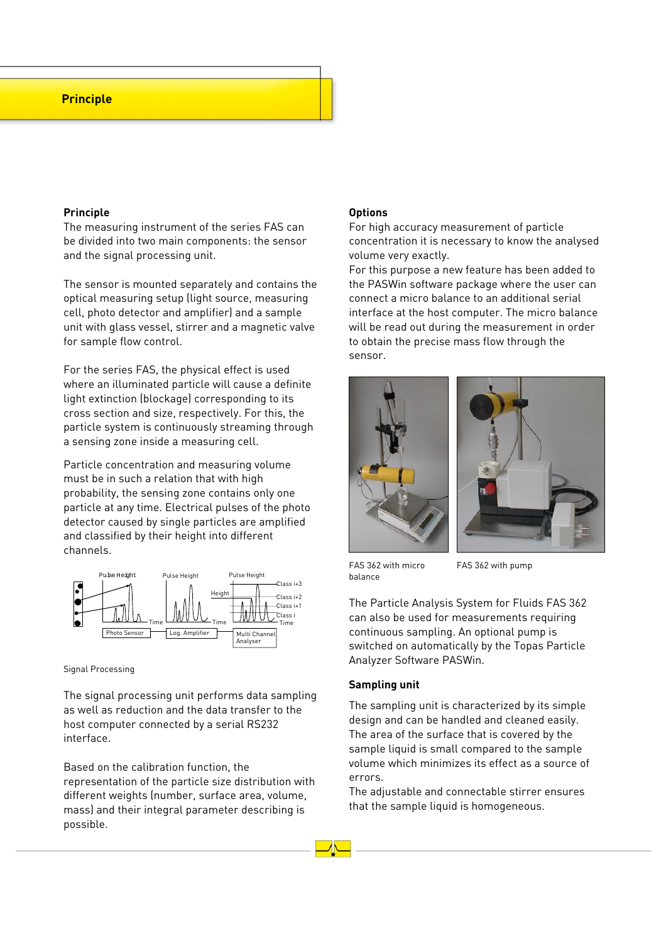## **Principle**

#### **Principle**

The measuring instrument of the series FAS can be divided into two main components: the sensor and the signal processing unit.

The sensor is mounted separately and contains the optical measuring setup (light source, measuring cell, photo detector and amplifier) and a sample unit with glass vessel, stirrer and a magnetic valve for sample flow control.

For the series FAS, the physical effect is used where an illuminated particle will cause a definite light extinction (blockage) corresponding to its cross section and size, respectively. For this, the particle system is continuously streaming through a sensing zone inside a measuring cell.

Particle concentration and measuring volume must be in such a relation that with high probability, the sensing zone contains only one particle at any time. Electrical pulses of the photo detector caused by single particles are amplified and classified by their height into different channels.



#### Signal Processing

The signal processing unit performs data sampling as well as reduction and the data transfer to the host computer connected by a serial RS232 interface.

Based on the calibration function, the representation of the particle size distribution with different weights (number, surface area, volume, mass) and their integral parameter describing is possible.

## **Options**

For high accuracy measurement of particle concentration it is necessary to know the analysed volume very exactly.

For this purpose a new feature has been added to the PASWin software package where the user can connect a micro balance to an additional serial interface at the host computer. The micro balance will be read out during the measurement in order to obtain the precise mass flow through the sensor.





FAS 362 with micro balance

FAS 362 with pump

The Particle Analysis System for Fluids FAS 362 can also be used for measurements requiring continuous sampling. An optional pump is switched on automatically by the Topas Particle Analyzer Software PASWin.

#### **Sampling unit**

The sampling unit is characterized by its simple design and can be handled and cleaned easily. The area of the surface that is covered by the sample liquid is small compared to the sample volume which minimizes its effect as a source of errors.

The adjustable and connectable stirrer ensures that the sample liquid is homogeneous.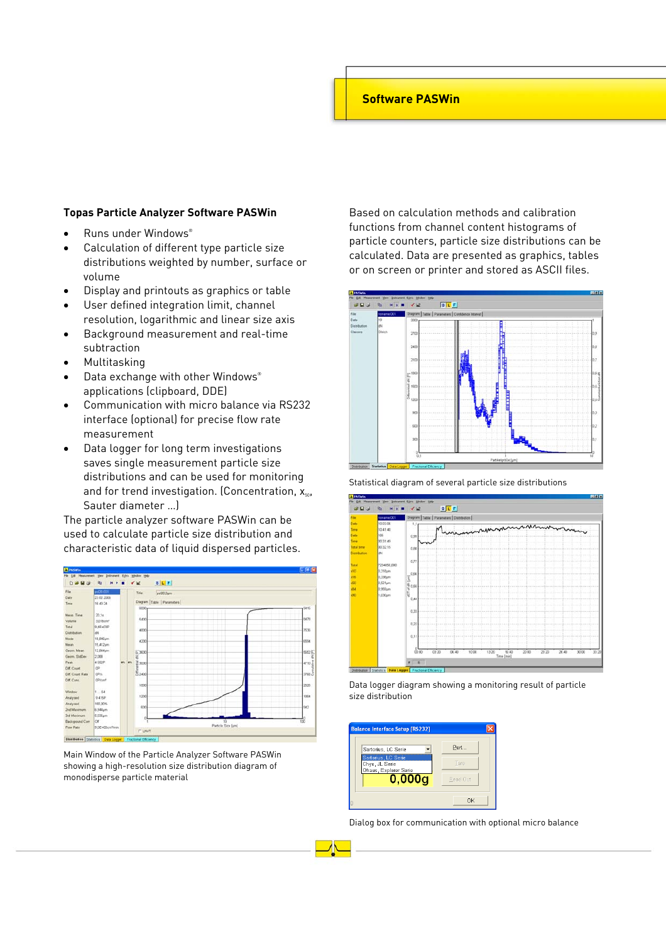# **Software PASWin**

#### **Topas Particle Analyzer Software PASWin**

- Runs under Windows®
- Calculation of different type particle size distributions weighted by number, surface or volume
- Display and printouts as graphics or table
- User defined integration limit, channel resolution, logarithmic and linear size axis
- Background measurement and real-time subtraction
- Multitasking
- Data exchange with other Windows® applications (clipboard, DDE)
- Communication with micro balance via RS232 interface (optional) for precise flow rate measurement
- Data logger for long term investigations saves single measurement particle size distributions and can be used for monitoring and for trend investigation. (Concentration,  $x_{50}$ , Sauter diameter …)

The particle analyzer software PASWin can be used to calculate particle size distribution and characteristic data of liquid dispersed particles.



Main Window of the Particle Analyzer Software PASWin showing a high-resolution size distribution diagram of monodisperse particle material

Based on calculation methods and calibration functions from channel content histograms of particle counters, particle size distributions can be calculated. Data are presented as graphics, tables or on screen or printer and stored as ASCII files.



Statistical diagram of several particle size distributions



Data logger diagram showing a monitoring result of particle size distribution



Dialog box for communication with optional micro balance